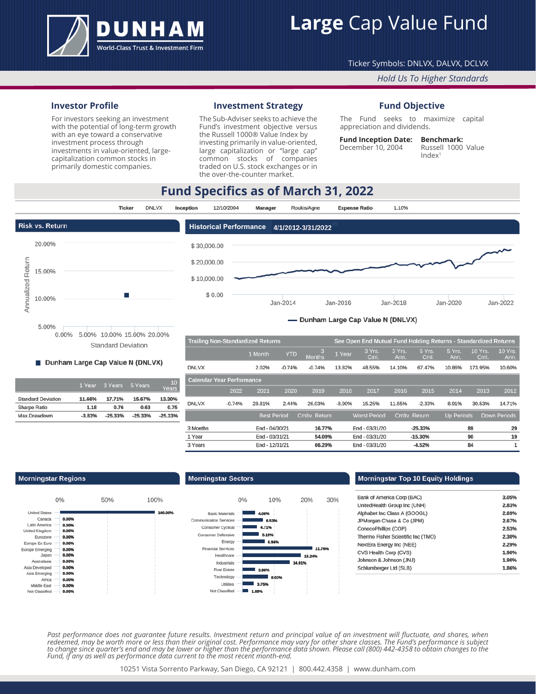

# **Large** Cap Value Fund

## Ticker Symbols: DNLVX, DALVX, DCLVX

## *Hold Us To Higher Standards*

## **Investor Profile**

For investors seeking an investment with the potential of long-term growth with an eye toward a conservative investment process through investments in value-oriented, largecapitalization common stocks in primarily domestic companies.

## **Investment Strategy**

The Sub-Adviser seeks to achieve the Fund's investment objective versus the Russell 1000® Value Index by investing primarily in value-oriented, large capitalization or "large cap" common stocks of companies traded on U.S. stock exchanges or in the over-the-counter market.

## **Fund Objective**

The Fund seeks to maximize capital appreciation and dividends.

#### **Fund Inception Date: Benchmark:**

December 10, 2004

Russell 1000 Value  $Index<sup>1</sup>$ 

## **Fund Specifics as of March 31, 2022**



#### Dunham Large Cap Value N (DNLVX)

|                           | 1 Year   | 3 Years   | 5 Years   | 10<br>Years |
|---------------------------|----------|-----------|-----------|-------------|
| <b>Standard Deviation</b> | 11.66%   | 17.71%    | 15.67%    | 13.30%      |
| Sharpe Ratio              | 1.18     | 0.76      | 0.63      | 0.75        |
| Max.Drawdown              | $-3.83%$ | $-25.33%$ | $-25.33%$ | $-25.33%$   |

| <b>Trailing Non-Standardized Returns</b> |          |                    |            |                    |          | See Open End Mutual Fund Holding Returns - Standardized Returns |                |                |                   |                        |                 |
|------------------------------------------|----------|--------------------|------------|--------------------|----------|-----------------------------------------------------------------|----------------|----------------|-------------------|------------------------|-----------------|
|                                          |          | 1 Month            | <b>YTD</b> | 3<br><b>Months</b> | 1 Year   | 3 Yrs.<br>Cml.                                                  | 3 Yrs.<br>Ann. | 5 Yrs.<br>Cml. | 5 Yrs.<br>Ann.    | <b>10 Yrs.</b><br>Cml. | 10 Yrs.<br>Ann. |
| <b>DNLVX</b>                             |          | 2.02%              | $-0.74%$   | $-0.74%$           | 13.82%   | 48.55%                                                          | 14.10%         | 67.47%         | 10.86%            | 173.95%                | 10.60%          |
| <b>Calendar Year Performance</b>         |          |                    |            |                    |          |                                                                 |                |                |                   |                        |                 |
|                                          | 2022     | 2021               | 2020       | 2019               | 2018     | 2017                                                            | 2016           | 2015           | 2014              | 2013                   | 2012            |
| <b>DNLVX</b>                             | $-0.74%$ | 28.81%             | 2.44%      | 26.03%             | $-8.90%$ | 15.25%                                                          | 11.55%         | $-2.33%$       | 8.91%             | 30.53%                 | 14.71%          |
|                                          |          | <b>Best Period</b> |            | Cmltv. Return      |          | <b>Worst Period</b>                                             |                | Cmltv. Return  | <b>Up Periods</b> |                        | Down Periods    |
| 3 Months                                 |          | End - 04/30/21     |            | 16.77%             |          | End - 03/31/20                                                  |                | $-25.33%$      |                   | 89                     | 29              |
| 1 Year                                   |          | End - 03/31/21     |            | 54.09%             |          | End - 03/31/20                                                  |                | $-15.30%$      |                   | 90                     | 19              |
| 3 Years                                  |          | End - 12/31/21     |            | 66.29%             |          | End - 03/31/20                                                  |                | $-4.52%$       |                   | 84                     | 1               |

#### **Morningstar Regions**



#### **Morningstar Sectors**



## Morningstar Top 10 Equity Holdings

| Bank of America Corp (BAC)         | 3.05% |
|------------------------------------|-------|
| UnitedHealth Group Inc (UNH)       | 2.83% |
| Alphabet Inc Class A (GOOGL)       | 2.69% |
| JPMorgan Chase & Co (JPM)          | 2.67% |
| ConocoPhillips (COP)               | 2.53% |
| Thermo Fisher Scientific Inc (TMO) | 2.30% |
| NextEra Energy Inc (NEE)           | 2.29% |
| CVS Health Corp (CVS)              | 1.90% |
| Johnson & Johnson (JNJ)            | 1.90% |
| Schlumberger Ltd (SLB)             | 1.86% |
|                                    |       |

Past performance does not guarantee future results. Investment return and principal value of an investment will fluctuate, and shares, when *redeemed, may be worth more or less than their original cost. Performance may vary for other share classes. The Fund's performance is subject to change since quarter's end and may be lower or higher than the performance data shown. Please call (800) 442-4358 to obtain changes to the Fund, if any as well as performance data current to the most recent month-end.*